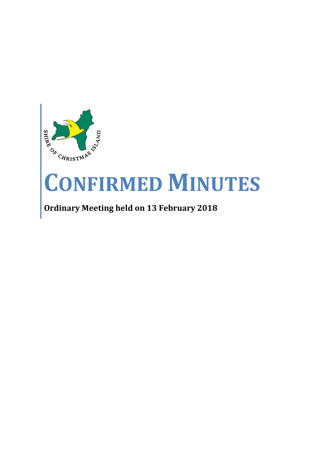

# **CONFIRMED MINUTES**

# **Ordinary Meeting held on 13 February 2018**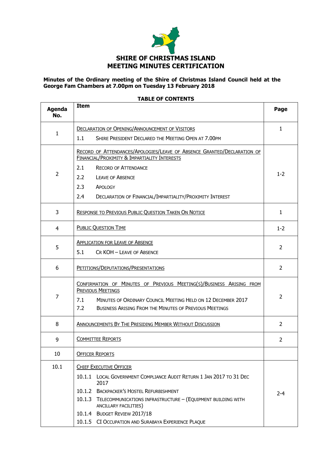

#### **Minutes of the Ordinary meeting of the Shire of Christmas Island Council held at the George Fam Chambers at 7.00pm on Tuesday 13 February 2018**

| <b>Agenda</b><br>No. | <b>Item</b>                                                                                                                                                                                                                                                                                                                                       | Page           |  |
|----------------------|---------------------------------------------------------------------------------------------------------------------------------------------------------------------------------------------------------------------------------------------------------------------------------------------------------------------------------------------------|----------------|--|
| 1                    | <b>DECLARATION OF OPENING/ANNOUNCEMENT OF VISITORS</b><br>1.1<br>SHIRE PRESIDENT DECLARED THE MEETING OPEN AT 7.00PM                                                                                                                                                                                                                              |                |  |
| 2                    | RECORD OF ATTENDANCES/APOLOGIES/LEAVE OF ABSENCE GRANTED/DECLARATION OF<br><b>FINANCIAL/PROXIMITY &amp; IMPARTIALITY INTERESTS</b><br>2.1<br><b>RECORD OF ATTENDANCE</b><br>2.2<br><b>LEAVE OF ABSENCE</b><br>2.3<br>APOLOGY<br>2.4<br>DECLARATION OF FINANCIAL/IMPARTIALITY/PROXIMITY INTEREST                                                   | $1 - 2$        |  |
| 3                    | RESPONSE TO PREVIOUS PUBLIC QUESTION TAKEN ON NOTICE                                                                                                                                                                                                                                                                                              | $\mathbf{1}$   |  |
| 4                    | <b>PUBLIC QUESTION TIME</b>                                                                                                                                                                                                                                                                                                                       | $1 - 2$        |  |
| 5                    | <b>APPLICATION FOR LEAVE OF ABSENCE</b><br>5.1<br>CR KOH - LEAVE OF ABSENCE                                                                                                                                                                                                                                                                       | $\overline{2}$ |  |
| 6                    | PETITIONS/DEPUTATIONS/PRESENTATIONS                                                                                                                                                                                                                                                                                                               |                |  |
| $\overline{7}$       | CONFIRMATION OF MINUTES OF PREVIOUS MEETING(S)/BUSINESS ARISING FROM<br><b>PREVIOUS MEETINGS</b><br>7.1<br>MINUTES OF ORDINARY COUNCIL MEETING HELD ON 12 DECEMBER 2017<br>7.2<br><b>BUSINESS ARISING FROM THE MINUTES OF PREVIOUS MEETINGS</b>                                                                                                   |                |  |
| 8                    | <b>ANNOUNCEMENTS BY THE PRESIDING MEMBER WITHOUT DISCUSSION</b>                                                                                                                                                                                                                                                                                   | $\overline{2}$ |  |
| 9                    | <b>COMMITTEE REPORTS</b>                                                                                                                                                                                                                                                                                                                          |                |  |
| 10                   | <b>OFFICER REPORTS</b>                                                                                                                                                                                                                                                                                                                            |                |  |
| 10.1                 | <b>CHIEF EXECUTIVE OFFICER</b><br>10.1.1 LOCAL GOVERNMENT COMPLIANCE AUDIT RETURN 1 JAN 2017 TO 31 DEC<br>2017<br>10.1.2 BACKPACKER'S HOSTEL REFURBISHMENT<br>10.1.3 TELECOMMUNICATIONS INFRASTRUCTURE - (EQUIPMENT BUILDING WITH<br>ANCILLARY FACILITIES)<br>10.1.4 BUDGET REVIEW 2017/18<br>10.1.5 CI OCCUPATION AND SURABAYA EXPERIENCE PLAQUE | $2 - 4$        |  |

#### **TABLE OF CONTENTS**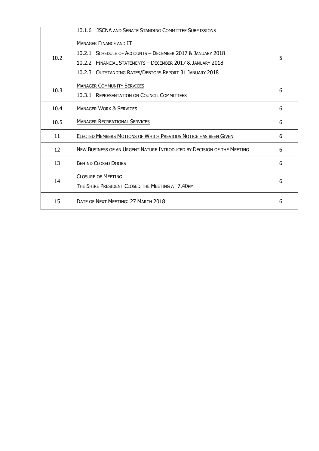|      | <b>JSCNA AND SENATE STANDING COMMITTEE SUBMISSIONS</b><br>10.1.6                                                                                                                                                     |   |
|------|----------------------------------------------------------------------------------------------------------------------------------------------------------------------------------------------------------------------|---|
| 10.2 | <b>MANAGER FINANCE AND IT</b><br>10.2.1 SCHEDULE OF ACCOUNTS - DECEMBER 2017 & JANUARY 2018<br>10.2.2 FINANCIAL STATEMENTS - DECEMBER 2017 & JANUARY 2018<br>10.2.3 OUTSTANDING RATES/DEBTORS REPORT 31 JANUARY 2018 | 5 |
| 10.3 | <b>MANAGER COMMUNITY SERVICES</b><br>10.3.1 REPRESENTATION ON COUNCIL COMMITTEES                                                                                                                                     | 6 |
| 10.4 | <b>MANAGER WORK &amp; SERVICES</b>                                                                                                                                                                                   | 6 |
| 10.5 | <b>MANAGER RECREATIONAL SERVICES</b>                                                                                                                                                                                 | 6 |
| 11   | ELECTED MEMBERS MOTIONS OF WHICH PREVIOUS NOTICE HAS BEEN GIVEN                                                                                                                                                      | 6 |
| 12   | NEW BUSINESS OF AN URGENT NATURE INTRODUCED BY DECISION OF THE MEETING                                                                                                                                               | 6 |
| 13   | <b>BEHIND CLOSED DOORS</b>                                                                                                                                                                                           | 6 |
| 14   | <b>CLOSURE OF MEETING</b><br>THE SHIRE PRESIDENT CLOSED THE MEETING AT 7.40PM                                                                                                                                        |   |
| 15   | DATE OF NEXT MEETING: 27 MARCH 2018                                                                                                                                                                                  | 6 |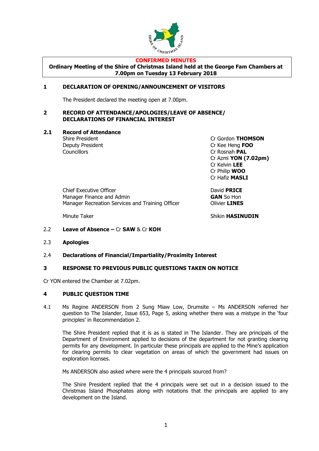

#### **CONFIRMED MINUTES**

**Ordinary Meeting of the Shire of Christmas Island held at the George Fam Chambers at 7.00pm on Tuesday 13 February 2018**

#### **1 DECLARATION OF OPENING/ANNOUNCEMENT OF VISITORS**

The President declared the meeting open at 7.00pm.

#### **2 RECORD OF ATTENDANCE/APOLOGIES/LEAVE OF ABSENCE/ DECLARATIONS OF FINANCIAL INTEREST**

**2.1 Record of Attendance**

Councillors **Councillors** Cr Rosnah **PAL** 

Shire President Cr Gordon **THOMSON** Deputy President Cr Kee Heng **FOO** Cr Azmi **YON (7.02pm)** Cr Kelvin **LEE** Cr Philip **WOO** Cr Hafiz **MASLI**

Chief Executive Officer **David PRICE** Manager Finance and Admin **GAN** So Hon Manager Recreation Services and Training Officer **Constructs** Olivier **LINES** 

Minute Taker **Number of the Shikin HASINUDIN** 

- 2.2 **Leave of Absence –** Cr **SAW** & Cr **KOH**
- 2.3 **Apologies**
- 2.4 **Declarations of Financial/Impartiality/Proximity Interest**

#### **3 RESPONSE TO PREVIOUS PUBLIC QUESTIONS TAKEN ON NOTICE**

Cr YON entered the Chamber at 7.02pm.

#### **4 PUBLIC QUESTION TIME**

4.1 Ms Regine ANDERSON from 2 Sung Miaw Low, Drumsite – Ms ANDERSON referred her question to The Islander, Issue 653, Page 5, asking whether there was a mistype in the 'four principles' in Recommendation 2.

The Shire President replied that it is as is stated in The Islander. They are principals of the Department of Environment applied to decisions of the department for not granting clearing permits for any development. In particular these principals are applied to the Mine's application for clearing permits to clear vegetation on areas of which the government had issues on exploration licenses.

Ms ANDERSON also asked where were the 4 principals sourced from?

The Shire President replied that the 4 principals were set out in a decision issued to the Christmas Island Phosphates along with notations that the principals are applied to any development on the Island.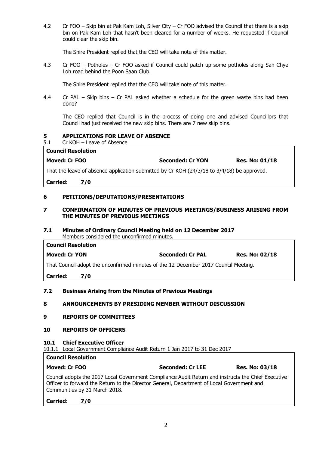4.2 Cr FOO – Skip bin at Pak Kam Loh, Silver City – Cr FOO advised the Council that there is a skip bin on Pak Kam Loh that hasn't been cleared for a number of weeks. He requested if Council could clear the skip bin.

The Shire President replied that the CEO will take note of this matter.

4.3 Cr FOO – Potholes – Cr FOO asked if Council could patch up some potholes along San Chye Loh road behind the Poon Saan Club.

The Shire President replied that the CEO will take note of this matter.

4.4 Cr PAL – Skip bins – Cr PAL asked whether a schedule for the green waste bins had been done?

The CEO replied that Council is in the process of doing one and advised Councillors that Council had just received the new skip bins. There are 7 new skip bins.

#### **5 APPLICATIONS FOR LEAVE OF ABSENCE**

5.1 Cr KOH – Leave of Absence

| <b>Moved: Cr FOO</b> | <b>Seconded: Cr YON</b> | <b>Res. No: 01/18</b> |
|----------------------|-------------------------|-----------------------|

That the leave of absence application submitted by Cr KOH (24/3/18 to 3/4/18) be approved.

**Carried: 7/0**

**Council Resolution**

#### **6 PETITIONS/DEPUTATIONS/PRESENTATIONS**

#### **7 CONFIRMATION OF MINUTES OF PREVIOUS MEETINGS/BUSINESS ARISING FROM THE MINUTES OF PREVIOUS MEETINGS**

#### **7.1 Minutes of Ordinary Council Meeting held on 12 December 2017** Members considered the unconfirmed minutes.

| <b>Council Resolution</b>                                                           |                         |                       |  |  |
|-------------------------------------------------------------------------------------|-------------------------|-----------------------|--|--|
| <b>Moved: Cr YON</b>                                                                | <b>Seconded: Cr PAL</b> | <b>Res. No: 02/18</b> |  |  |
| That Council adopt the unconfirmed minutes of the 12 December 2017 Council Meeting. |                         |                       |  |  |
| <b>Constantinople</b>                                                               |                         |                       |  |  |

**Carried: 7/0**

#### **7.2 Business Arising from the Minutes of Previous Meetings**

#### **8 ANNOUNCEMENTS BY PRESIDING MEMBER WITHOUT DISCUSSION**

#### **9 REPORTS OF COMMITTEES**

#### **10 REPORTS OF OFFICERS**

#### **10.1 Chief Executive Officer**

10.1.1 Local Government Compliance Audit Return 1 Jan 2017 to 31 Dec 2017

#### **Council Resolution**

| Moved: Cr FOO | <b>Seconded: Cr LEE</b> | <b>Res. No: 03/18</b> |
|---------------|-------------------------|-----------------------|
|               |                         |                       |

Council adopts the 2017 Local Government Compliance Audit Return and instructs the Chief Executive Officer to forward the Return to the Director General, Department of Local Government and Communities by 31 March 2018.

**Carried: 7/0**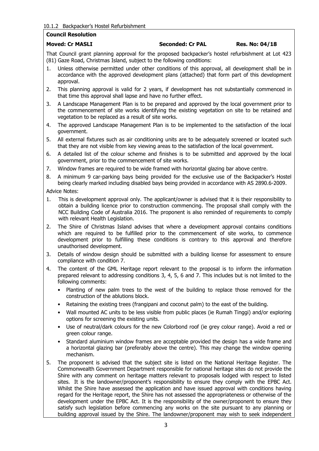#### **Council Resolution**

#### **Moved: Cr MASLI Seconded: Cr PAL Res. No: 04/18**

That Council grant planning approval for the proposed backpacker's hostel refurbishment at Lot 423 (81) Gaze Road, Christmas Island, subject to the following conditions:

- 1. Unless otherwise permitted under other conditions of this approval, all development shall be in accordance with the approved development plans (attached) that form part of this development approval.
- 2. This planning approval is valid for 2 years, if development has not substantially commenced in that time this approval shall lapse and have no further effect.
- 3. A Landscape Management Plan is to be prepared and approved by the local government prior to the commencement of site works identifying the existing vegetation on site to be retained and vegetation to be replaced as a result of site works.
- 4. The approved Landscape Management Plan is to be implemented to the satisfaction of the local government.
- 5. All external fixtures such as air conditioning units are to be adequately screened or located such that they are not visible from key viewing areas to the satisfaction of the local government.
- 6. A detailed list of the colour scheme and finishes is to be submitted and approved by the local government, prior to the commencement of site works.
- 7. Window frames are required to be wide framed with horizontal glazing bar above centre.
- 8. A minimum 9 car-parking bays being provided for the exclusive use of the Backpacker's Hostel being clearly marked including disabled bays being provided in accordance with AS 2890.6-2009.

Advice Notes:

- 1. This is development approval only. The applicant/owner is advised that it is their responsibility to obtain a building licence prior to construction commencing. The proposal shall comply with the NCC Building Code of Australia 2016. The proponent is also reminded of requirements to comply with relevant Health Legislation.
- 2. The Shire of Christmas Island advises that where a development approval contains conditions which are required to be fulfilled prior to the commencement of site works, to commence development prior to fulfilling these conditions is contrary to this approval and therefore unauthorised development.
- 3. Details of window design should be submitted with a building license for assessment to ensure compliance with condition 7.
- 4. The content of the GML Heritage report relevant to the proposal is to inform the information prepared relevant to addressing conditions 3, 4, 5, 6 and 7. This includes but is not limited to the following comments:
	- Planting of new palm trees to the west of the building to replace those removed for the construction of the ablutions block.
	- Retaining the existing trees (frangipani and coconut palm) to the east of the building.
	- Wall mounted AC units to be less visible from public places (ie Rumah Tinggi) and/or exploring options for screening the existing units.
	- Use of neutral/dark colours for the new Colorbond roof (ie grey colour range). Avoid a red or green colour range.
	- Standard aluminium window frames are acceptable provided the design has a wide frame and a horizontal glazing bar (preferably above the centre). This may change the window opening mechanism.
- 5. The proponent is advised that the subject site is listed on the National Heritage Register. The Commonwealth Government Department responsible for national heritage sites do not provide the Shire with any comment on heritage matters relevant to proposals lodged with respect to listed sites. It is the landowner/proponent's responsibility to ensure they comply with the EPBC Act. Whilst the Shire have assessed the application and have issued approval with conditions having regard for the Heritage report, the Shire has not assessed the appropriateness or otherwise of the development under the EPBC Act. It is the responsibility of the owner/proponent to ensure they satisfy such legislation before commencing any works on the site pursuant to any planning or building approval issued by the Shire. The landowner/proponent may wish to seek independent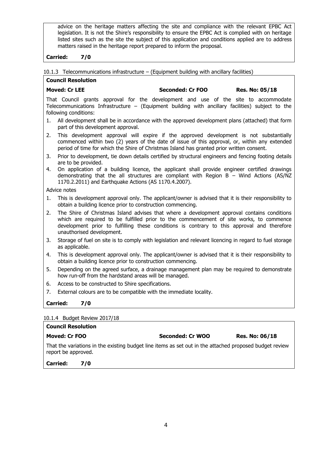advice on the heritage matters affecting the site and compliance with the relevant EPBC Act legislation. It is not the Shire's responsibility to ensure the EPBC Act is complied with on heritage listed sites such as the site the subject of this application and conditions applied are to address matters raised in the heritage report prepared to inform the proposal.

#### **Carried: 7/0**

10.1.3 Telecommunications infrastructure – (Equipment building with ancillary facilities)

### **Council Resolution Moved: Cr LEE Seconded: Cr FOO Res. No: 05/18**

That Council grants approval for the development and use of the site to accommodate Telecommunications Infrastructure – (Equipment building with ancillary facilities) subject to the following conditions:

- 1. All development shall be in accordance with the approved development plans (attached) that form part of this development approval.
- 2. This development approval will expire if the approved development is not substantially commenced within two (2) years of the date of issue of this approval, or, within any extended period of time for which the Shire of Christmas Island has granted prior written consent.
- 3. Prior to development, tie down details certified by structural engineers and fencing footing details are to be provided.
- 4. On application of a building licence, the applicant shall provide engineer certified drawings demonstrating that the all structures are compliant with Region  $B - W$ ind Actions (AS/NZ 1170.2.2011) and Earthquake Actions (AS 1170.4.2007).

Advice notes

- 1. This is development approval only. The applicant/owner is advised that it is their responsibility to obtain a building licence prior to construction commencing.
- 2. The Shire of Christmas Island advises that where a development approval contains conditions which are required to be fulfilled prior to the commencement of site works, to commence development prior to fulfilling these conditions is contrary to this approval and therefore unauthorised development.
- 3. Storage of fuel on site is to comply with legislation and relevant licencing in regard to fuel storage as applicable.
- 4. This is development approval only. The applicant/owner is advised that it is their responsibility to obtain a building licence prior to construction commencing.
- 5. Depending on the agreed surface, a drainage management plan may be required to demonstrate how run-off from the hardstand areas will be managed.
- 6. Access to be constructed to Shire specifications.
- 7. External colours are to be compatible with the immediate locality.

**Carried: 7/0**

#### 10.1.4 Budget Review 2017/18

## **Council Resolution**

#### **Moved: Cr FOO Seconded: Cr WOO Res. No: 06/18**

That the variations in the existing budget line items as set out in the attached proposed budget review report be approved.

**Carried: 7/0**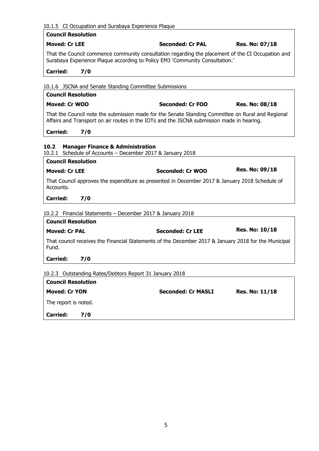| <b>Council Resolution</b><br><b>Moved: Cr LEE</b><br><b>Seconded: Cr PAL</b><br>That the Council commence community consultation regarding the placement of the CI Occupation and<br>Surabaya Experience Plaque according to Policy EM3 'Community Consultation.'<br><b>Carried:</b><br>7/0<br>10.1.6 JSCNA and Senate Standing Committee Submissions<br><b>Council Resolution</b><br><b>Moved: Cr WOO</b><br><b>Seconded: Cr FOO</b><br>That the Council note the submission made for the Senate Standing Committee on Rural and Regional<br>Affairs and Transport on air routes in the IOTs and the JSCNA submission made in hearing.<br><b>Carried:</b><br>7/0<br>10.2<br><b>Manager Finance &amp; Administration</b><br>10.2.1 Schedule of Accounts - December 2017 & January 2018<br><b>Council Resolution</b><br><b>Res. No: 09/18</b><br><b>Moved: Cr LEE</b><br>Seconded: Cr WOO<br>That Council approves the expenditure as presented in December 2017 & January 2018 Schedule of<br>Accounts.<br>7/0<br><b>Carried:</b><br>10.2.2 Financial Statements - December 2017 & January 2018<br><b>Council Resolution</b><br><b>Moved: Cr PAL</b><br><b>Seconded: Cr LEE</b><br>That council receives the Financial Statements of the December 2017 & January 2018 for the Municipal<br>Fund.<br><b>Carried:</b><br>7/0<br>10.2.3 Outstanding Rates/Debtors Report 31 January 2018<br><b>Council Resolution</b> | <b>Res. No: 07/18</b><br><b>Res. No: 08/18</b>     |
|--------------------------------------------------------------------------------------------------------------------------------------------------------------------------------------------------------------------------------------------------------------------------------------------------------------------------------------------------------------------------------------------------------------------------------------------------------------------------------------------------------------------------------------------------------------------------------------------------------------------------------------------------------------------------------------------------------------------------------------------------------------------------------------------------------------------------------------------------------------------------------------------------------------------------------------------------------------------------------------------------------------------------------------------------------------------------------------------------------------------------------------------------------------------------------------------------------------------------------------------------------------------------------------------------------------------------------------------------------------------------------------------------------------------|----------------------------------------------------|
|                                                                                                                                                                                                                                                                                                                                                                                                                                                                                                                                                                                                                                                                                                                                                                                                                                                                                                                                                                                                                                                                                                                                                                                                                                                                                                                                                                                                                    |                                                    |
|                                                                                                                                                                                                                                                                                                                                                                                                                                                                                                                                                                                                                                                                                                                                                                                                                                                                                                                                                                                                                                                                                                                                                                                                                                                                                                                                                                                                                    |                                                    |
|                                                                                                                                                                                                                                                                                                                                                                                                                                                                                                                                                                                                                                                                                                                                                                                                                                                                                                                                                                                                                                                                                                                                                                                                                                                                                                                                                                                                                    |                                                    |
|                                                                                                                                                                                                                                                                                                                                                                                                                                                                                                                                                                                                                                                                                                                                                                                                                                                                                                                                                                                                                                                                                                                                                                                                                                                                                                                                                                                                                    |                                                    |
|                                                                                                                                                                                                                                                                                                                                                                                                                                                                                                                                                                                                                                                                                                                                                                                                                                                                                                                                                                                                                                                                                                                                                                                                                                                                                                                                                                                                                    |                                                    |
|                                                                                                                                                                                                                                                                                                                                                                                                                                                                                                                                                                                                                                                                                                                                                                                                                                                                                                                                                                                                                                                                                                                                                                                                                                                                                                                                                                                                                    |                                                    |
|                                                                                                                                                                                                                                                                                                                                                                                                                                                                                                                                                                                                                                                                                                                                                                                                                                                                                                                                                                                                                                                                                                                                                                                                                                                                                                                                                                                                                    |                                                    |
|                                                                                                                                                                                                                                                                                                                                                                                                                                                                                                                                                                                                                                                                                                                                                                                                                                                                                                                                                                                                                                                                                                                                                                                                                                                                                                                                                                                                                    |                                                    |
|                                                                                                                                                                                                                                                                                                                                                                                                                                                                                                                                                                                                                                                                                                                                                                                                                                                                                                                                                                                                                                                                                                                                                                                                                                                                                                                                                                                                                    |                                                    |
|                                                                                                                                                                                                                                                                                                                                                                                                                                                                                                                                                                                                                                                                                                                                                                                                                                                                                                                                                                                                                                                                                                                                                                                                                                                                                                                                                                                                                    |                                                    |
|                                                                                                                                                                                                                                                                                                                                                                                                                                                                                                                                                                                                                                                                                                                                                                                                                                                                                                                                                                                                                                                                                                                                                                                                                                                                                                                                                                                                                    |                                                    |
|                                                                                                                                                                                                                                                                                                                                                                                                                                                                                                                                                                                                                                                                                                                                                                                                                                                                                                                                                                                                                                                                                                                                                                                                                                                                                                                                                                                                                    |                                                    |
|                                                                                                                                                                                                                                                                                                                                                                                                                                                                                                                                                                                                                                                                                                                                                                                                                                                                                                                                                                                                                                                                                                                                                                                                                                                                                                                                                                                                                    |                                                    |
|                                                                                                                                                                                                                                                                                                                                                                                                                                                                                                                                                                                                                                                                                                                                                                                                                                                                                                                                                                                                                                                                                                                                                                                                                                                                                                                                                                                                                    |                                                    |
|                                                                                                                                                                                                                                                                                                                                                                                                                                                                                                                                                                                                                                                                                                                                                                                                                                                                                                                                                                                                                                                                                                                                                                                                                                                                                                                                                                                                                    |                                                    |
|                                                                                                                                                                                                                                                                                                                                                                                                                                                                                                                                                                                                                                                                                                                                                                                                                                                                                                                                                                                                                                                                                                                                                                                                                                                                                                                                                                                                                    | <b>Res. No: 10/18</b>                              |
|                                                                                                                                                                                                                                                                                                                                                                                                                                                                                                                                                                                                                                                                                                                                                                                                                                                                                                                                                                                                                                                                                                                                                                                                                                                                                                                                                                                                                    |                                                    |
|                                                                                                                                                                                                                                                                                                                                                                                                                                                                                                                                                                                                                                                                                                                                                                                                                                                                                                                                                                                                                                                                                                                                                                                                                                                                                                                                                                                                                    |                                                    |
|                                                                                                                                                                                                                                                                                                                                                                                                                                                                                                                                                                                                                                                                                                                                                                                                                                                                                                                                                                                                                                                                                                                                                                                                                                                                                                                                                                                                                    |                                                    |
|                                                                                                                                                                                                                                                                                                                                                                                                                                                                                                                                                                                                                                                                                                                                                                                                                                                                                                                                                                                                                                                                                                                                                                                                                                                                                                                                                                                                                    |                                                    |
| <b>Moved: Cr YON</b>                                                                                                                                                                                                                                                                                                                                                                                                                                                                                                                                                                                                                                                                                                                                                                                                                                                                                                                                                                                                                                                                                                                                                                                                                                                                                                                                                                                               |                                                    |
| The report is noted.                                                                                                                                                                                                                                                                                                                                                                                                                                                                                                                                                                                                                                                                                                                                                                                                                                                                                                                                                                                                                                                                                                                                                                                                                                                                                                                                                                                               | <b>Seconded: Cr MASLI</b><br><b>Res. No: 11/18</b> |

**Carried: 7/0**